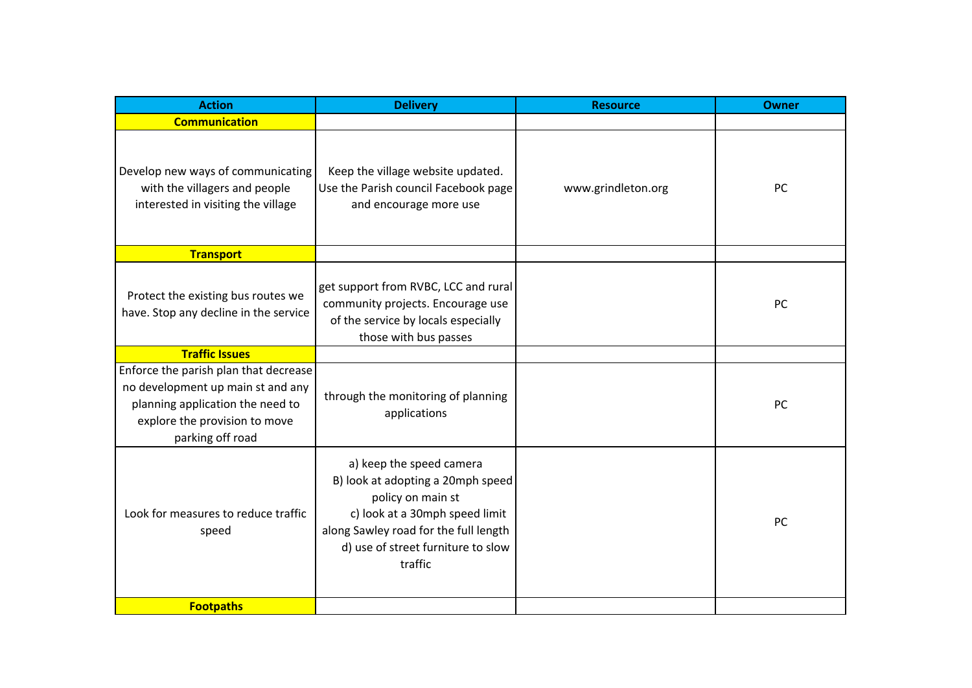| <b>Action</b>                                                                                                                                                       | <b>Delivery</b>                                                                                                                                                                                                | <b>Resource</b>    | <b>Owner</b> |
|---------------------------------------------------------------------------------------------------------------------------------------------------------------------|----------------------------------------------------------------------------------------------------------------------------------------------------------------------------------------------------------------|--------------------|--------------|
| <b>Communication</b>                                                                                                                                                |                                                                                                                                                                                                                |                    |              |
| Develop new ways of communicating<br>with the villagers and people<br>interested in visiting the village                                                            | Keep the village website updated.<br>Use the Parish council Facebook page<br>and encourage more use                                                                                                            | www.grindleton.org | PC           |
| <b>Transport</b>                                                                                                                                                    |                                                                                                                                                                                                                |                    |              |
| Protect the existing bus routes we<br>have. Stop any decline in the service                                                                                         | get support from RVBC, LCC and rural<br>community projects. Encourage use<br>of the service by locals especially<br>those with bus passes                                                                      |                    | PC           |
| <b>Traffic Issues</b>                                                                                                                                               |                                                                                                                                                                                                                |                    |              |
| Enforce the parish plan that decrease<br>no development up main st and any<br>planning application the need to<br>explore the provision to move<br>parking off road | through the monitoring of planning<br>applications                                                                                                                                                             |                    | PC           |
| Look for measures to reduce traffic<br>speed                                                                                                                        | a) keep the speed camera<br>B) look at adopting a 20mph speed<br>policy on main st<br>c) look at a 30mph speed limit<br>along Sawley road for the full length<br>d) use of street furniture to slow<br>traffic |                    | PC           |
| <b>Footpaths</b>                                                                                                                                                    |                                                                                                                                                                                                                |                    |              |